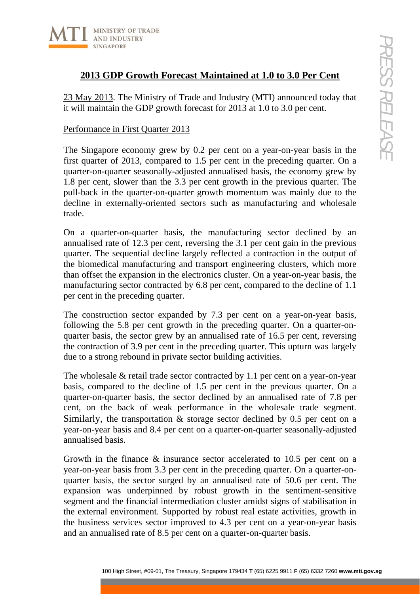

## **2013 GDP Growth Forecast Maintained at 1.0 to 3.0 Per Cent**

23 May 2013. The Ministry of Trade and Industry (MTI) announced today that it will maintain the GDP growth forecast for 2013 at 1.0 to 3.0 per cent.

### Performance in First Quarter 2013

The Singapore economy grew by 0.2 per cent on a year-on-year basis in the first quarter of 2013, compared to 1.5 per cent in the preceding quarter. On a quarter-on-quarter seasonally-adjusted annualised basis, the economy grew by 1.8 per cent, slower than the 3.3 per cent growth in the previous quarter. The pull-back in the quarter-on-quarter growth momentum was mainly due to the decline in externally-oriented sectors such as manufacturing and wholesale trade.

On a quarter-on-quarter basis, the manufacturing sector declined by an annualised rate of 12.3 per cent, reversing the 3.1 per cent gain in the previous quarter. The sequential decline largely reflected a contraction in the output of the biomedical manufacturing and transport engineering clusters, which more than offset the expansion in the electronics cluster. On a year-on-year basis, the manufacturing sector contracted by 6.8 per cent, compared to the decline of 1.1 per cent in the preceding quarter.

The construction sector expanded by 7.3 per cent on a year-on-year basis, following the 5.8 per cent growth in the preceding quarter. On a quarter-onquarter basis, the sector grew by an annualised rate of 16.5 per cent, reversing the contraction of 3.9 per cent in the preceding quarter. This upturn was largely due to a strong rebound in private sector building activities.

The wholesale & retail trade sector contracted by 1.1 per cent on a year-on-year basis, compared to the decline of 1.5 per cent in the previous quarter. On a quarter-on-quarter basis, the sector declined by an annualised rate of 7.8 per cent, on the back of weak performance in the wholesale trade segment. Similarly, the transportation & storage sector declined by 0.5 per cent on a year-on-year basis and 8.4 per cent on a quarter-on-quarter seasonally-adjusted annualised basis.

100 Notestrate that the control of the magnitude of the magnitude of the magnitude of the Treasury Street and the GDP growth forecast for 2013 at 1.0 to 3.0 Per Cent whigh Street and the GDP growth forecast for 2013 at 1. Growth in the finance & insurance sector accelerated to 10.5 per cent on a year-on-year basis from 3.3 per cent in the preceding quarter. On a quarter-onquarter basis, the sector surged by an annualised rate of 50.6 per cent. The expansion was underpinned by robust growth in the sentiment-sensitive segment and the financial intermediation cluster amidst signs of stabilisation in the external environment. Supported by robust real estate activities, growth in the business services sector improved to 4.3 per cent on a year-on-year basis and an annualised rate of 8.5 per cent on a quarter-on-quarter basis.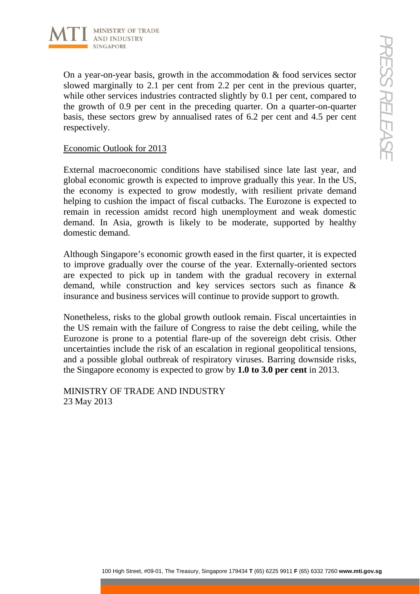

On a year-on-year basis, growth in the accommodation & food services sector slowed marginally to 2.1 per cent from 2.2 per cent in the previous quarter, while other services industries contracted slightly by 0.1 per cent, compared to the growth of 0.9 per cent in the preceding quarter. On a quarter-on-quarter basis, these sectors grew by annualised rates of 6.2 per cent and 4.5 per cent respectively.

#### Economic Outlook for 2013

10 Houstone<br>
con-year basis, growth in the accommodation & food services sector<br>
con-year basis, growth in the preceding quarter. On a quarter-on-quarter<br>
10 of 0.9 per cent in the preceding quarter. On a quarter-on-quar External macroeconomic conditions have stabilised since late last year, and global economic growth is expected to improve gradually this year. In the US, the economy is expected to grow modestly, with resilient private demand helping to cushion the impact of fiscal cutbacks. The Eurozone is expected to remain in recession amidst record high unemployment and weak domestic demand. In Asia, growth is likely to be moderate, supported by healthy domestic demand.

Although Singapore's economic growth eased in the first quarter, it is expected to improve gradually over the course of the year. Externally-oriented sectors are expected to pick up in tandem with the gradual recovery in external demand, while construction and key services sectors such as finance & insurance and business services will continue to provide support to growth.

Nonetheless, risks to the global growth outlook remain. Fiscal uncertainties in the US remain with the failure of Congress to raise the debt ceiling, while the Eurozone is prone to a potential flare-up of the sovereign debt crisis. Other uncertainties include the risk of an escalation in regional geopolitical tensions, and a possible global outbreak of respiratory viruses. Barring downside risks, the Singapore economy is expected to grow by **1.0 to 3.0 per cent** in 2013.

MINISTRY OF TRADE AND INDUSTRY 23 May 2013